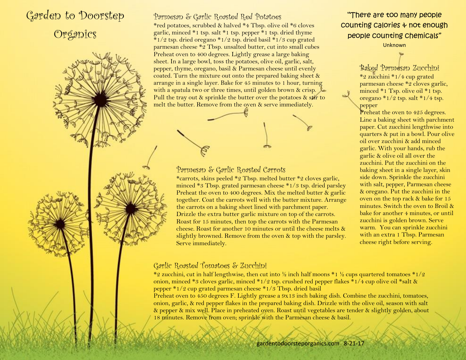## Garden to Doorstep Organics

Parmesan & Garlic Roasted Red Potatoes \*red potatoes, scrubbed & halved \*4 Tbsp. olive oil \*6 cloves garlic, minced \*1 tsp. salt \*1 tsp. pepper \*1 tsp. dried thyme  $*1/2$  tsp. dried oregano  $*1/2$  tsp. dried basil  $*1/3$  cup grated parmesan cheese \*2 Tbsp. unsalted butter, cut into small cubes Preheat oven to 400 degrees. Lightly grease a large baking sheet. In a large bowl, toss the potatoes, olive oil, garlic, salt, pepper, thyme, oregano, basil & Parmesan cheese until evenly coated. Turn the mixture out onto the prepared baking sheet & arrange in a single layer. Bake for 45 minutes to 1 hour, turning with a spatula two or three times, until golden brown & crisp. Pull the tray out  $\&$  sprinkle the butter over the potatoes  $\&$  stir to melt the butter. Remove from the oven & serve immediately.

## Parmesan & Garlic Roasted Carrots

\*carrots, skins peeled \*2 Tbsp. melted butter \*2 cloves garlic, minced \*3 Tbsp. grated parmesan cheese \*1/3 tsp. dried parsley Preheat the oven to 400 degrees. Mix the melted butter & garlic together. Coat the carrots well with the butter mixture. Arrange the carrots on a baking sheet lined with parchment paper. Drizzle the extra butter garlic mixture on top of the carrots. Roast for 15 minutes, then top the carrots with the Parmesan cheese. Roast for another 10 minutes or until the cheese melts & slightly browned. Remove from the oven & top with the parsley. Serve immediately.

## Garlic Roasted Tomatoes & Zucchini

\*2 zucchini, cut in half lengthwise, then cut into  $\frac{1}{2}$  inch half moons \*1  $\frac{1}{2}$  cups quartered tomatoes \*1/2 onion, minced \*3 cloves garlic, minced \*1/2 tsp. crushed red pepper flakes \*1/4 cup olive oil \*salt & pepper \*1/2 cup grated parmesan cheese \*1/3 Tbsp. dried basil

Preheat oven to 450 degrees F. Lightly grease a 9x13 inch baking dish. Combine the zucchini, tomatoes, onion, garlic, & red pepper flakes in the prepared baking dish. Drizzle with the olive oil, season with salt & pepper & mix well. Place in preheated oven. Roast until vegetables are tender & slightly golden, about 18 minutes. Remove from oven; sprinkle with the Parmesan cheese & basil.

"There are too many people counting calories & not enough people counting chemicals"

Unknown

Baked Parmesan Zucchini \*2 zucchini \*1/4 cup grated parmesan cheese \*2 cloves garlic, minced \*1 Tsp. olive oil \*1 tsp. oregano \*1/2 tsp. salt \*1/4 tsp. pepper

Preheat the oven to 425 degrees. Line a baking sheet with parchment paper. Cut zucchini lengthwise into quarters & put in a bowl. Pour olive oil over zucchini & add minced garlic. With your hands, rub the garlic & olive oil all over the zucchini. Put the zucchini on the baking sheet in a single layer, skin side down. Sprinkle the zucchini with salt, pepper, Parmesan cheese & oregano. Put the zucchini in the oven on the top rack & bake for 15 minutes. Switch the oven to Broil & bake for another 4 minutes, or until zucchini is golden brown. Serve warm. You can sprinkle zucchini with an extra 1 Tbsp. Parmesan cheese right before serving.